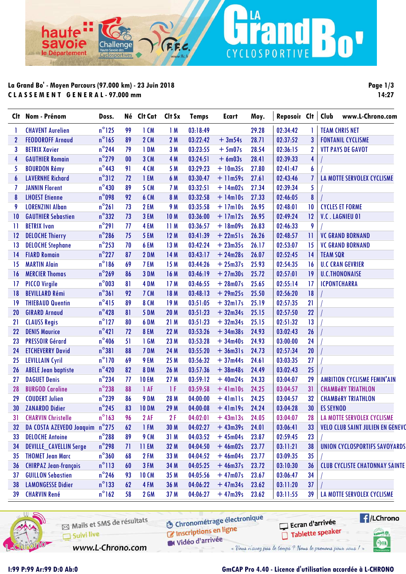### **La Grand Bo' - Moyen Parcours (97.000 km) - 23 Juin 2018 C L A S S E M E N T G E N E R A L - 97.000 mm**

Cha

 $A$ nde

E

ha

savoje

le Département

**Page 1/3 14:27**

n<sup>u</sup>

|                 | Clt Nom - Prénom              | Doss.           |    | Né Clt Cat Clt Sx |                 | <b>Temps</b> | <b>Ecart</b>   | Moy.  | Reposoir Clt |              | Club<br>www.L-Chrono.com                |
|-----------------|-------------------------------|-----------------|----|-------------------|-----------------|--------------|----------------|-------|--------------|--------------|-----------------------------------------|
| 1               | <b>CHAVENT Aurelien</b>       | $n^{\circ}$ 125 | 99 | $1$ CM            | 1M              | 03:18:49     |                | 29.28 | 02:34:42     | T            | <b>TEAM CHRIS NET</b>                   |
| $\mathbf{2}$    | <b>FEODOROFF Arnaud</b>       | $n^{\circ}$ 165 | 89 | <b>2 CM</b>       | 2M              | 03:22:42     | $+3m54s$       | 28.71 | 02:37:52     | 3            | <b>FONTANIL CYCLISME</b>                |
| 3               | <b>BETRIX Xavier</b>          | $n^{\circ}$ 244 | 79 | 1 DM              | 3M              | 03:23:55     | $+5m07s$       | 28.54 | 02:36:15     | $\mathbf 2$  | <b>VTT PAYS DE GAVOT</b>                |
| 4               | <b>GAUTHIER Romain</b>        | $n^{\circ}$ 279 | 00 | 3 CM              | 4 M             | 03:24:51     | $+6m03s$       | 28.41 | 02:39:33     | 4            |                                         |
| 5               | <b>BOURDON Rémy</b>           | $n^{\circ}$ 443 | 91 | 4 CM              | 5 M             | 03:29:23     | $+10m35s$      | 27.80 | 02:41:47     | 6            |                                         |
| 6               | <b>LAVERNHE Richard</b>       | $n^{\circ}312$  | 72 | 1 EM              | 6 M             | 03:30:47     | $+11m59s$      | 27.61 | 02:43:46     | 7            | LA MOTTE SERVOLEX CYCLISME              |
| 7               | <b>JANNIN Florent</b>         | $n^{\circ}430$  | 89 | <b>5 CM</b>       | 7 M             | 03:32:51     | $+ 14m02s$     | 27.34 | 02:39:34     | 5            |                                         |
| 8               | <b>LHOEST Etienne</b>         | $n^{\circ}$ 098 | 92 | <b>6 CM</b>       | 8 M             | 03:32:58     | $+ 14$ m $10s$ | 27.33 | 02:46:05     | 8            |                                         |
| 9               | <b>LORENZINI Alban</b>        | $n^{\circ}261$  | 73 | 2 EM              | <b>9 M</b>      | 03:35:58     | $+17$ m $10s$  | 26.95 | 02:48:01     | 10           | <b>CYCLES ET FORME</b>                  |
| 10              | <b>GAUTHIER Sebastien</b>     | $n^{\circ}332$  | 73 | 3 EM              | 10 <sub>M</sub> | 03:36:00     | $+17ml2s$      | 26.95 | 02:49:24     | 12           | V.C. LAGNIEU 01                         |
| -11             | <b>BETRIX</b> Ivan            | $n^{\circ}291$  | 77 | 4 EM              | 11 M            | 03:36:57     | $+ 18m09s$     | 26.83 | 02:46:33     | 9            |                                         |
| 12              | <b>DELOCHE Thierry</b>        | $n^{\circ}$ 286 | 75 | 5 EM              | 12M             | 03:41:39     | $+22m51s$      | 26.26 | 02:48:57     | $\mathbf{1}$ | <b>VC GRAND BORNAND</b>                 |
| $\overline{13}$ | <b>DELOCHE Stephane</b>       | $n^{\circ}$ 253 | 70 | 6 EM              | 13 M            | 03:42:24     | $+23m35s$      | 26.17 | 02:53:07     | 15           | <b>VC GRAND BORNAND</b>                 |
| 14              | <b>FIARD Romain</b>           | $n^{\circ}$ 227 | 87 | 2 DM              | 14 M            | 03:43:17     | $+24m28s$      | 26.07 | 02:52:45     | 14           | <b>TEAM SQR</b>                         |
| 15              | <b>MARTIN Alain</b>           | $n^{\circ}186$  | 69 | 7 EM              | 15 M            | 03:44:26     | $+25m37s$      | 25.93 | 02:54:35     | 16           | <b>U.C CRAN GEVRIER</b>                 |
| 16              | <b>MERCIER Thomas</b>         | $n^{\circ}$ 269 | 86 | 3 DM              | 16 M            | 03:46:19     | $+27m30s$      | 25.72 | 02:57:01     | 19           | <b>U.C.THONONAISE</b>                   |
| $\overline{17}$ | <b>PICCO Virgile</b>          | $n^{\circ}$ 003 | 81 | 4 DM              | 17M             | 03:46:55     | $+28m07s$      | 25.65 | 02:55:14     | 17           | <b>ICPONTCHARRA</b>                     |
| 18              | <b>BEVILLARD Rémi</b>         | $n^{\circ}361$  | 92 | <b>7 CM</b>       | 18 M            | 03:48:13     | $+29m25s$      | 25.50 | 02:56:20     | 18           |                                         |
| 19              | <b>THIEBAUD Quentin</b>       | $n^{\circ}415$  | 89 | <b>8 CM</b>       | 19 M            | 03:51:05     | $+32$ ml7s     | 25.19 | 02:57:35     | 21           |                                         |
| 20              | <b>GIRARD Arnaud</b>          | $n^{\circ}$ 428 | 81 | <b>5 DM</b>       | 20 M            | 03:51:23     | $+32m34s$      | 25.15 | 02:57:50     | 22           |                                         |
| 21              | <b>CLAUSS Regis</b>           | $n^{\circ}$ 127 | 80 | 6 DM              | 21M             | 03:51:23     | $+32m34s$      | 25.15 | 02:51:32     | 13           |                                         |
| 22              | <b>DENIS Maurice</b>          | $n^{\circ}421$  | 72 | <b>8 EM</b>       | 22 M            | 03:53:26     | $+34m38s$      | 24.93 | 03:02:43     | 26           |                                         |
| 23              | <b>PRESSOIR Gérard</b>        | $n^{\circ}$ 406 | 51 | 1 GM              | 23 M            | 03:53:28     | $+34m40s$      | 24.93 | 03:00:00     | 24           |                                         |
| 24              | <b>ETCHEVERRY David</b>       | $n^{\circ}381$  | 88 | 7 DM              | 24 M            | 03:55:20     | $+36m31s$      | 24.73 | 02:57:34     | 20           |                                         |
| 25              | <b>LEVILLAIN Cyril</b>        | $n^{\circ}$ 170 | 69 | 9 EM              | 25 M            | 03:56:32     | $+37m44s$      | 24.61 | 03:03:35     | 27           |                                         |
| 26              | <b>ABELE Jean baptiste</b>    | $n^{\circ}420$  | 82 | <b>8 DM</b>       | 26 M            | 03:57:36     | $+38m48s$      | 24.49 | 03:02:43     | 25           |                                         |
| 27              | <b>DAGUET Denis</b>           | $n^{\circ}$ 234 | 77 | <b>10 EM</b>      | 27 M            | 03:59:12     | $+40m24s$      | 24.33 | 03:04:07     | 29           | <b>AMBITION CYCLISME FEMIN'AIN</b>      |
| 28              | <b>BURGOD Caroline</b>        | $n^{\circ}$ 238 | 88 | 1 AF              | 1F              | 03:59:58     | $+$ 41m10s     | 24.25 | 03:04:57     | 31           | <b>CHAMBÉRY TRIATHLON</b>               |
| 29              | <b>COUDERT Julien</b>         | $n^{\circ}$ 239 | 86 | 9 DM              | 28 M            | 04:00:00     | $+$ 41m $  $ s | 24.25 | 03:04:57     | 32           | <b>CHAMBÉRY TRIATHLON</b>               |
| 30              | <b>ZANARDO Didier</b>         | $n^{\circ}$ 245 | 83 | <b>10 DM</b>      | 29 M            | 04:00:08     | $+4$ lm $19s$  | 24.24 | 03:04:28     | 30           | <b>ES SEYNOD</b>                        |
| 31              | <b>CHARVIN Christelle</b>     | $n^{\circ}$ 163 | 96 | <b>2 AF</b>       | 2F              | 04:02:01     | $+43$ ml $3s$  | 24.05 | 03:04:07     | 28           | <b>LA MOTTE SERVOLEX CYCLISME</b>       |
| 32              | DA COSTA AZEVEDO Joaquim      | $n^{\circ}$ 275 | 62 | 1 FM              | 30 M            | 04:02:27     | $+43m39s$      | 24.01 | 03:06:41     | 33           | <b>VELO CLUB SAINT JULIEN EN GENEVO</b> |
| 33              | <b>DELOCHE Antoine</b>        | $n^{\circ}$ 288 | 89 | 9 CM              | 31 M            | 04:03:52     | $+45m04s$      | 23.87 | 02:59:45     | 23           |                                         |
| 34              | <b>DEVILLE_CAVELLIN Serge</b> | $n^{\circ}$ 298 | 71 | <b>11 EM</b>      | 32 M            | 04:04:50     | $+46m02s$      | 23.77 | 03:11:21     | 38           | UNION CYCLOSPORTIFS SAVOYARDS           |
| 35              | <b>THOMET Jean Marc</b>       | $n^{\circ}360$  | 68 | 2 FM              | 33 M            | 04:04:52     | $+46m04s$      | 23.77 | 03:09:35     | 35           |                                         |
| 36              | <b>CHIRPAZ Jean-françois</b>  | $n^{\circ}113$  | 60 | 3 FM              | 34 M            | 04:05:25     | $+46m37s$      | 23.72 | 03:10:30     | 36           | <b>CLUB CYCLISTE CHATONNAY SAINTE</b>   |
| 37              | <b>GUILLON Sebastien</b>      | $n^{\circ}$ 246 | 93 | <b>10 CM</b>      | 35 M            | 04:05:56     | $+47m07s$      | 23.67 | 03:06:47     | 34           |                                         |
| 38              | <b>LAMONGESSE Didier</b>      | $n^{\circ}$ 133 | 62 | 4 FM              | 36 M            | 04:06:22     | $+47m34s$      | 23.62 | 03:11:20     | 37           |                                         |
| 39              | <b>CHARVIN René</b>           | $n^{\circ}$ 162 | 58 | <b>2 GM</b>       | 37 M            | 04:06:27     | $+47m39s$      | 23.62 | 03:11:55     | 39           | LA MOTTE SERVOLEX CYCLISME              |

LA

CYCLOSPORTIVE



### **I:99 P:99 Ar:99 D:0 Ab:0 GmCAP Pro 4.40 - Licence d'utilisation accordée à L-CHRONO**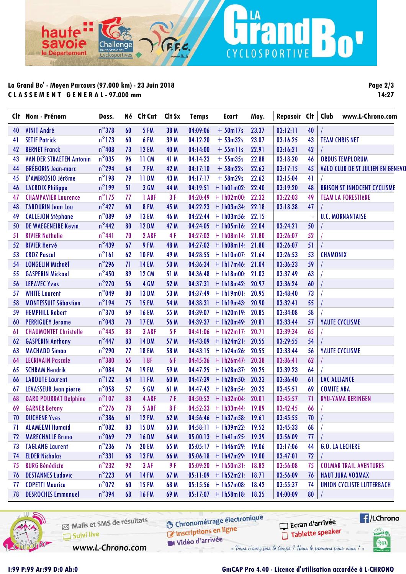# **La Grand Bo' - Moyen Parcours (97.000 km) - 23 Juin 2018 C L A S S E M E N T G E N E R A L - 97.000 mm**

Cha

 $AnA$ 

ha

savoje

le Département

**Page 2/3 14:27**

n<sup>u</sup>

| Clt | Nom - Prénom                    | Doss.           |    | Né Clt Cat   | Clt Sx | <b>Temps</b> | <b>Ecart</b>                                 | Moy.  | Reposoir Clt   Club |    |                     | www.L-Chrono.com                   |
|-----|---------------------------------|-----------------|----|--------------|--------|--------------|----------------------------------------------|-------|---------------------|----|---------------------|------------------------------------|
| 40  | <b>VINIT André</b>              | $n^{\circ}378$  | 60 | 5 FM         | 38 M   | 04:09:06     | $+50$ ml7s                                   | 23.37 | 03:12:11            | 40 |                     |                                    |
| 41  | <b>SETIF Patrick</b>            | $n^{\circ}$ 173 | 60 | 6 FM         | 39 M   | 04:12:20     | $+53m32s$                                    | 23.07 | 03:16:25            | 43 |                     | <b>TEAM CHRIS NET</b>              |
| 42  | <b>BERNET Franck</b>            | $n^{\circ}$ 408 | 73 | <b>12 EM</b> | 40 M   | 04:14:00     | $+ 55$ mlls                                  | 22.91 | 03:16:21            | 42 |                     |                                    |
| 43  | <b>VAN DER STRAETEN Antonin</b> | $n^{\circ}$ 035 | 96 | 11 CM        | 41 M   | 04:14:23     | $+55m35s$                                    | 22.88 | 03:18:20            | 46 |                     | <b>ORDUS TEMPLORUM</b>             |
| 44  | <b>GRÉGORIS Jean-marc</b>       | $n^{\circ}$ 294 | 64 | 7 FM         | 42 M   | 04:17:10     | $+58m22s$                                    | 22.63 | 03:17:15            | 45 |                     | Vélo CLUB DE ST JULIEN EN GENEVO   |
| 45  | D'AMBROSIO Jérôme               | $n^{\circ}$ 198 | 79 | <b>11 DM</b> | 43 M   | 04:17:17     | $+58m29s$                                    | 22.62 | 03:15:04            | 41 |                     |                                    |
| 46  | <b>LACROIX Philippe</b>         | $n^{\circ}$ 199 | 51 | 3 GM         | 44 M   | 04:19:51     | $+1h01m02$                                   | 22.40 | 03:19:20            | 48 |                     | <b>BRISON ST INNOCENT CYCLISME</b> |
| 47  | <b>CHAMPAVIER Laurence</b>      | $n^{\circ}$ 175 | 77 | 1 ABF        | 3F     | 04:20:49     | $+1h02m00$                                   | 22.32 | 03:22:03            | 49 |                     | <b>TEAM LA FORESTIÈRE</b>          |
| 48  | <b>TABOURIN Jean Lou</b>        | $n^{\circ}427$  | 60 | <b>8 FM</b>  | 45 M   |              | $04:22:23$ + 1h03m34                         | 22.18 | 03:18:38            | 47 |                     |                                    |
| 49  | <b>CALLEJON Stéphane</b>        | $n^{\circ}089$  | 69 | <b>13 EM</b> | 46 M   | 04:22:44     | $+1h03m56$                                   | 22.15 |                     |    |                     | <b>U.C. MORNANTAISE</b>            |
| 50  | <b>DE WAEGENEIRE Kevin</b>      | $n^{\circ}$ 442 | 80 | <b>12 DM</b> | 47 M   |              | $04:24:05$ + 1h05m16                         | 22.04 | 03:24:21            | 50 |                     |                                    |
| 51  | <b>RIVIER Nathalie</b>          | $n^{\circ}441$  | 70 | 2 ABF        | 4F     | 04:27:02     | $+1h08m14$                                   | 21.80 | 03:26:07            | 52 |                     |                                    |
| 52  | <b>RIVIER Hervé</b>             | $n^{\circ}$ 439 | 67 | 9 FM         | 48 M   |              | $04:27:02$ + 1h08m14                         | 21.80 | 03:26:07            | 51 |                     |                                    |
| 53  | <b>CROZ Pascal</b>              | $n^{\circ}161$  | 62 | <b>10 FM</b> | 49 M   |              | $04:28:55$ + 1h10m07                         | 21.64 | 03:26:53            | 53 | <b>CHAMONIX</b>     |                                    |
| 54  | <b>LONGELIN Michaël</b>         | $n^{\circ}$ 296 | 71 | <b>14 EM</b> | 50 M   |              | $04:36:34$ + 1h17m46                         | 21.04 | 03:36:23            | 59 |                     |                                    |
| 55  | <b>GASPERIN Mickael</b>         | $n^{\circ}$ 450 | 89 | <b>12 CM</b> | 51 M   | 04:36:48     | $+1h18m00$                                   | 21.03 | 03:37:49            | 63 |                     |                                    |
| 56  | <b>LEPAVEC Yves</b>             | $n^{\circ}$ 270 | 56 | 4 GM         | 52 M   | 04:37:31     | $+$ 1h18m42                                  | 20.97 | 03:36:24            | 60 |                     |                                    |
| 57  | <b>WHITE Laurent</b>            | $n^{\circ}$ 049 | 80 | <b>13 DM</b> | 53 M   | 04:37:49     | $+1h19m01$                                   | 20.95 | 03:48:40            | 73 |                     |                                    |
| 58  | <b>MONTESSUIT Sébastien</b>     | $n^{\circ}$ 194 | 75 | <b>15 EM</b> | 54 M   | 04:38:31     | $+1h19m43$                                   | 20.90 | 03:32:41            | 55 |                     |                                    |
| 59  | <b>HEMPHILL Robert</b>          | $n^{\circ}370$  | 69 | <b>16 EM</b> | 55 M   |              | $04:39:07$ + 1h20m19                         | 20.85 | 03:34:08            | 58 |                     |                                    |
| 60  | <b>PERRIGUEY Jerome</b>         | $n^{\circ}$ 043 | 70 | <b>17 EM</b> | 56 M   |              | $04:39:37 + 1h20m49$                         | 20.81 | 03:33:44            | 57 |                     | YAUTE CYCLISME                     |
| 61  | <b>CHAUMONTET Christelle</b>    | $n^{\circ}$ 445 | 83 | 3 ABF        | 5F     | 04:41:06     | $+$ 1h22m17                                  | 20.71 | 03:39:34            | 65 |                     |                                    |
| 62  | <b>GASPERIN Anthony</b>         | $n^{\circ}$ 447 | 83 | <b>14 DM</b> | 57 M   | 04:43:09     | $+$ 1h24m21                                  | 20.55 | 03:29:55            | 54 |                     |                                    |
| 63  | <b>MACHADO Simao</b>            | $n^{\circ}$ 290 | 77 | <b>18 EM</b> | 58 M   |              | $04:43:15 + 1h24m26$                         | 20.55 | 03:33:44            | 56 |                     | YAUTE CYCLISME                     |
| 64  | <b>LECRIVAIN Pascale</b>        | $n^{\circ}380$  | 65 | 1 BF         | 6F     |              | $04:45:36$ + lh26m47                         | 20.38 | 03:36:41            | 62 |                     |                                    |
| 65  | <b>SCHRAM Hendrik</b>           | $n^{\circ}084$  | 74 | <b>19 EM</b> | 59 M   |              | $04:47:25$ + 1h28m37                         | 20.25 | 03:39:23            | 64 |                     |                                    |
| 66  | <b>LABOUTE Laurent</b>          | $n^{\circ}$ 122 | 64 | <b>11 FM</b> | 60 M   |              | $04:47:39$ + 1h28m50                         | 20.23 | 03:36:40            | 61 | <b>LAC ALLIANCE</b> |                                    |
| 67  | <b>LEVASSEUR Jean pierre</b>    | $n^{\circ}$ 058 | 57 | <b>5 GM</b>  | 61 M   | 04:47:42     | $+1h28m54$                                   | 20.23 | 03:45:51            | 69 | <b>COMITE ARA</b>   |                                    |
| 68  | <b>DARD POURRAT Delphine</b>    | $n^{\circ}107$  | 83 | 4 ABF        | 7 F    | 04:50:52     | $+1h32m04$                                   | 20.01 | 03:45:57            | 71 |                     | <b>RYU-YAMA BERINGEN</b>           |
| 69  | <b>GARNER Betony</b>            | $n^{\circ}$ 276 | 78 | 5 ABF        | 8F     |              | $04:52:33 + 1h33m44$                         | 19.89 | 03:42:45            | 66 |                     |                                    |
| 70  | <b>DUCHENE Yves</b>             |                 |    |              |        |              | n°386 61 12 FM 62 M 04:56:46 + 1h37m58 19.61 |       | $03:45:55$ 70       |    | $\mathbf{I}$        |                                    |
| 71  | <b>ALAMEEMI Humaid</b>          | $n^{\circ}082$  | 83 | <b>15 DM</b> | 63 M   | 04:58:11     | $+1h39m22$                                   | 19.52 | 03:45:33            | 68 |                     |                                    |
| 72  | <b>MARECHALLE Bruno</b>         | $n^{\circ}$ 069 | 79 | <b>16 DM</b> | 64 M   |              | $05:00:13 + 1h41m25$                         | 19.39 | 03:56:09            | 77 |                     |                                    |
| 73  | <b>TAGLANG Laurent</b>          | $n^{\circ}$ 236 | 76 | <b>20 EM</b> | 65 M   |              | $05:05:17 + 1h46m29$                         | 19.06 | 03:17:06            | 44 |                     | <b>G.O. LA LECHERE</b>             |
| 74  | <b>ELDER Nicholas</b>           | $n^{\circ}331$  | 68 | <b>13 FM</b> | 66 M   |              | $05:06:18$ + 1h47m29                         | 19.00 | 03:47:01            | 72 |                     |                                    |
| 75  | <b>BURG Bénédicte</b>           | $n^{\circ}$ 232 | 92 | <b>3 AF</b>  | 9 F    |              | $05:09:20$ + 1h50m31                         | 18.82 | 03:56:08            | 75 |                     | <b>COLMAR TRAIL AVENTURES</b>      |
| 76  | <b>DESTANNES Ludovic</b>        | $n^{\circ}$ 223 | 64 | <b>14 FM</b> | 67 M   |              | $05:11:09$ + 1h52m21                         | 18.71 | 03:56:09            | 76 |                     | <b>HAUT JURA VO3MAX</b>            |
| 77  | <b>COPETTI Maurice</b>          | $n^{\circ}$ 072 | 60 | <b>15 FM</b> | 68 M   | 05:15:56     | $+1h57m08$                                   | 18.42 | 03:55:37            | 74 |                     | <b>UNION CYCLISTE LUTTERBACH</b>   |
| 78  | <b>DESROCHES Emmanuel</b>       | $n^{\circ}$ 394 | 68 | <b>16 FM</b> | 69 M   |              | $05:17:07$ + 1h58m18                         | 18.35 | 04:00:09            | 80 |                     |                                    |
|     |                                 |                 |    |              |        |              |                                              |       |                     |    |                     |                                    |

LA

CYCLOSPORTIVE